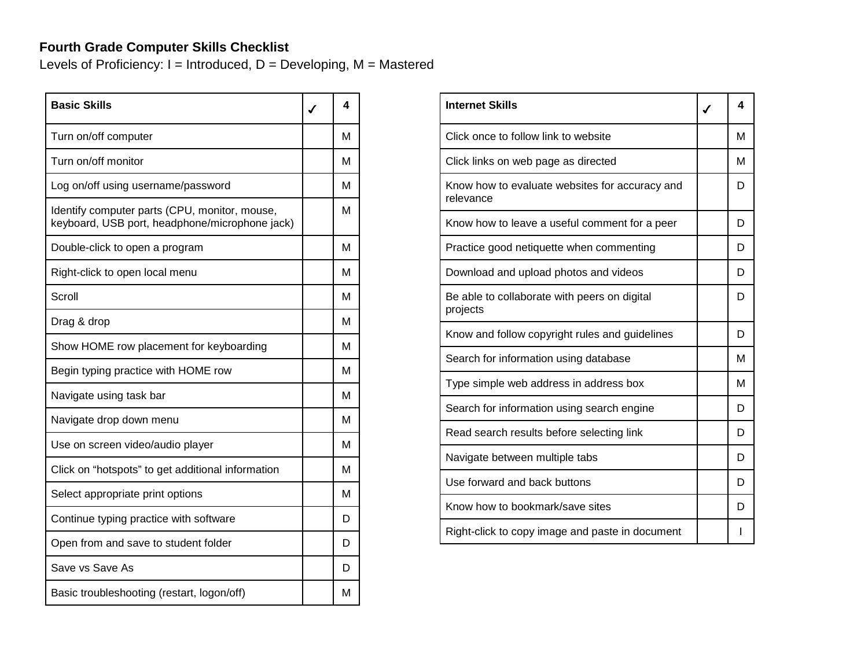## **Fourth Grade Computer Skills Checklist**

Levels of Proficiency:  $I = Introduced$ ,  $D = Development$ ,  $M = Mastered$ 

| <b>Basic Skills</b>                                                                             | 4 |
|-------------------------------------------------------------------------------------------------|---|
| Turn on/off computer                                                                            | м |
| Turn on/off monitor                                                                             | м |
| Log on/off using username/password                                                              | M |
| Identify computer parts (CPU, monitor, mouse,<br>keyboard, USB port, headphone/microphone jack) | м |
| Double-click to open a program                                                                  | M |
| Right-click to open local menu                                                                  | M |
| Scroll                                                                                          | м |
| Drag & drop                                                                                     | м |
| Show HOME row placement for keyboarding                                                         | м |
| Begin typing practice with HOME row                                                             | M |
| Navigate using task bar                                                                         | M |
| Navigate drop down menu                                                                         | м |
| Use on screen video/audio player                                                                | м |
| Click on "hotspots" to get additional information                                               | м |
| Select appropriate print options                                                                | M |
| Continue typing practice with software                                                          | D |
| Open from and save to student folder                                                            | D |
| Save vs Save As                                                                                 | D |
| Basic troubleshooting (restart, logon/off)                                                      | М |

| <b>Internet Skills</b>                                      | $\checkmark$ | 4 |
|-------------------------------------------------------------|--------------|---|
| Click once to follow link to website                        |              | M |
| Click links on web page as directed                         |              | м |
| Know how to evaluate websites for accuracy and<br>relevance |              | D |
| Know how to leave a useful comment for a peer               |              | D |
| Practice good netiquette when commenting                    |              | D |
| Download and upload photos and videos                       |              | D |
| Be able to collaborate with peers on digital<br>projects    |              | D |
| Know and follow copyright rules and guidelines              |              | D |
| Search for information using database                       |              | M |
| Type simple web address in address box                      |              | M |
| Search for information using search engine                  |              | D |
| Read search results before selecting link                   |              | D |
| Navigate between multiple tabs                              |              | D |
| Use forward and back buttons                                |              | D |
| Know how to bookmark/save sites                             |              | D |
| Right-click to copy image and paste in document             |              |   |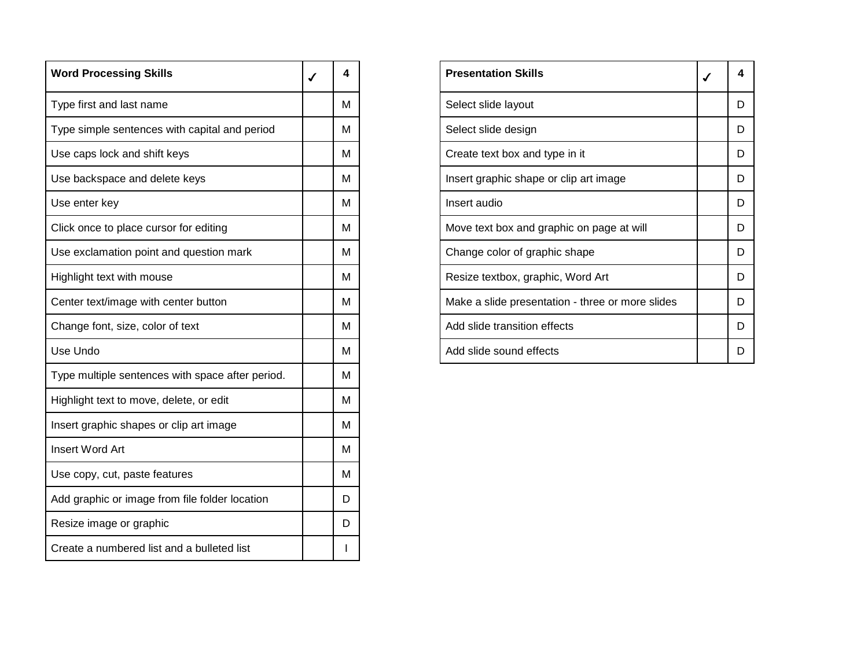| <b>Word Processing Skills</b>                    | 4 |
|--------------------------------------------------|---|
| Type first and last name                         | М |
| Type simple sentences with capital and period    | м |
| Use caps lock and shift keys                     | м |
| Use backspace and delete keys                    | м |
| Use enter key                                    | м |
| Click once to place cursor for editing           | м |
| Use exclamation point and question mark          | м |
| Highlight text with mouse                        | м |
| Center text/image with center button             | м |
| Change font, size, color of text                 | м |
| Use Undo                                         | м |
| Type multiple sentences with space after period. | м |
| Highlight text to move, delete, or edit          | м |
| Insert graphic shapes or clip art image          | м |
| <b>Insert Word Art</b>                           | M |
| Use copy, cut, paste features                    | м |
| Add graphic or image from file folder location   | D |
| Resize image or graphic                          | D |
| Create a numbered list and a bulleted list       |   |

| <b>Presentation Skills</b>                       | 4 |
|--------------------------------------------------|---|
| Select slide layout                              | D |
| Select slide design                              | D |
| Create text box and type in it                   | D |
| Insert graphic shape or clip art image           | D |
| Insert audio                                     | D |
| Move text box and graphic on page at will        | D |
| Change color of graphic shape                    | D |
| Resize textbox, graphic, Word Art                | D |
| Make a slide presentation - three or more slides | D |
| Add slide transition effects                     | D |
| Add slide sound effects                          |   |